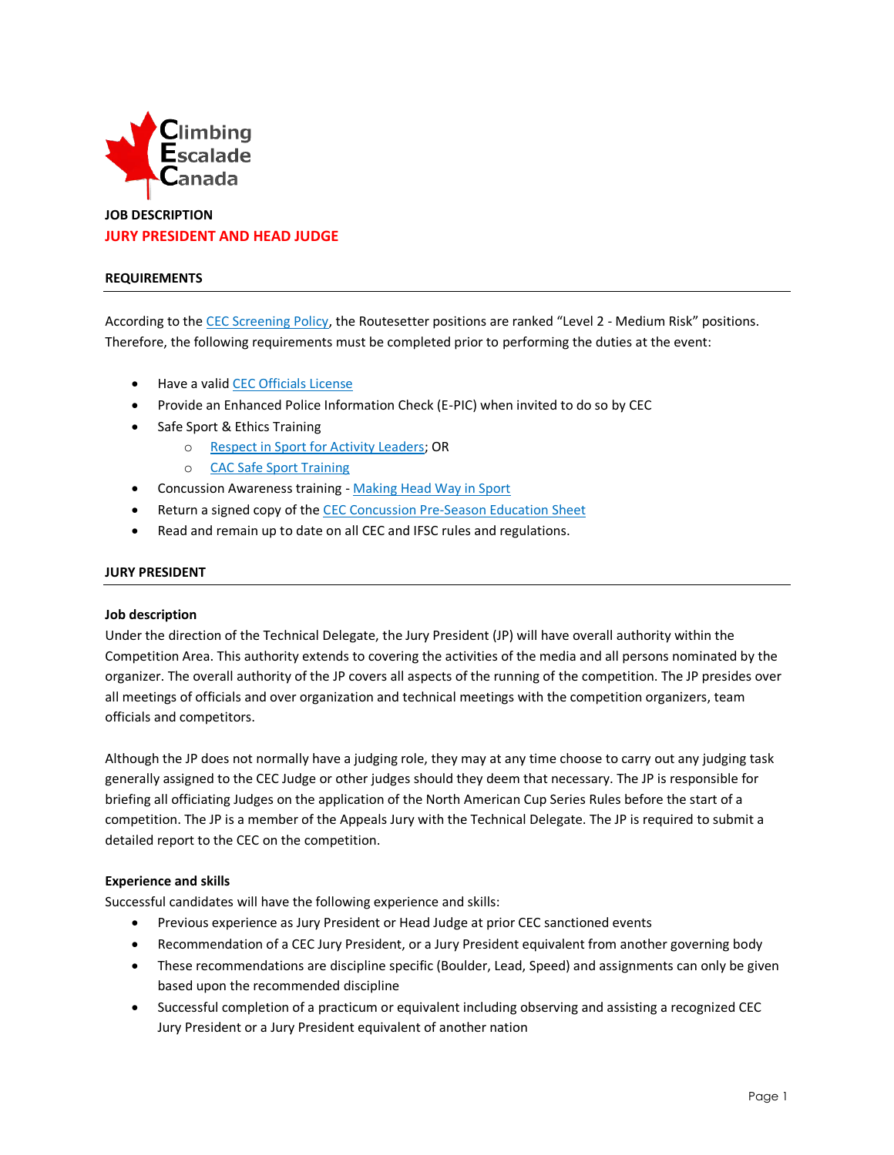

# **JOB DESCRIPTION JURY PRESIDENT AND HEAD JUDGE**

## **REQUIREMENTS**

According to the [CEC Screening Policy](http://climbingcanada.ca/wp-content/uploads/2020/09/CEC-SP-06-Screening-Policy.pdf), the Routesetter positions are ranked "Level 2 - Medium Risk" positions. Therefore, the following requirements must be completed prior to performing the duties at the event:

- Have a vali[d CEC Officials License](https://member.climbingcanada.ca/login)
- Provide an Enhanced Police Information Check (E-PIC) when invited to do so by CEC
- Safe Sport & Ethics Training
	- o [Respect in Sport for Activity Leaders;](https://climbing-escalade-canada-al.respectgroupinc.com/) OR
	- o [CAC Safe Sport Training](https://safesport.coach.ca/)
- Concussion Awareness training [Making Head Way in Sport](https://coach.ca/making-head-way-concussion-elearning-series)
- Return a signed copy of th[e CEC Concussion Pre-Season Education Sheet](https://www.climbingcanada.ca/wp-content/uploads/2020/12/CEC-PreSeason-Education-Sheet-Parachute-ENG.pdf)
- Read and remain up to date on all CEC and IFSC rules and regulations.

# **JURY PRESIDENT**

#### **Job description**

Under the direction of the Technical Delegate, the Jury President (JP) will have overall authority within the Competition Area. This authority extends to covering the activities of the media and all persons nominated by the organizer. The overall authority of the JP covers all aspects of the running of the competition. The JP presides over all meetings of officials and over organization and technical meetings with the competition organizers, team officials and competitors.

Although the JP does not normally have a judging role, they may at any time choose to carry out any judging task generally assigned to the CEC Judge or other judges should they deem that necessary. The JP is responsible for briefing all officiating Judges on the application of the North American Cup Series Rules before the start of a competition. The JP is a member of the Appeals Jury with the Technical Delegate. The JP is required to submit a detailed report to the CEC on the competition.

# **Experience and skills**

Successful candidates will have the following experience and skills:

- Previous experience as Jury President or Head Judge at prior CEC sanctioned events
- Recommendation of a CEC Jury President, or a Jury President equivalent from another governing body
- These recommendations are discipline specific (Boulder, Lead, Speed) and assignments can only be given based upon the recommended discipline
- Successful completion of a practicum or equivalent including observing and assisting a recognized CEC Jury President or a Jury President equivalent of another nation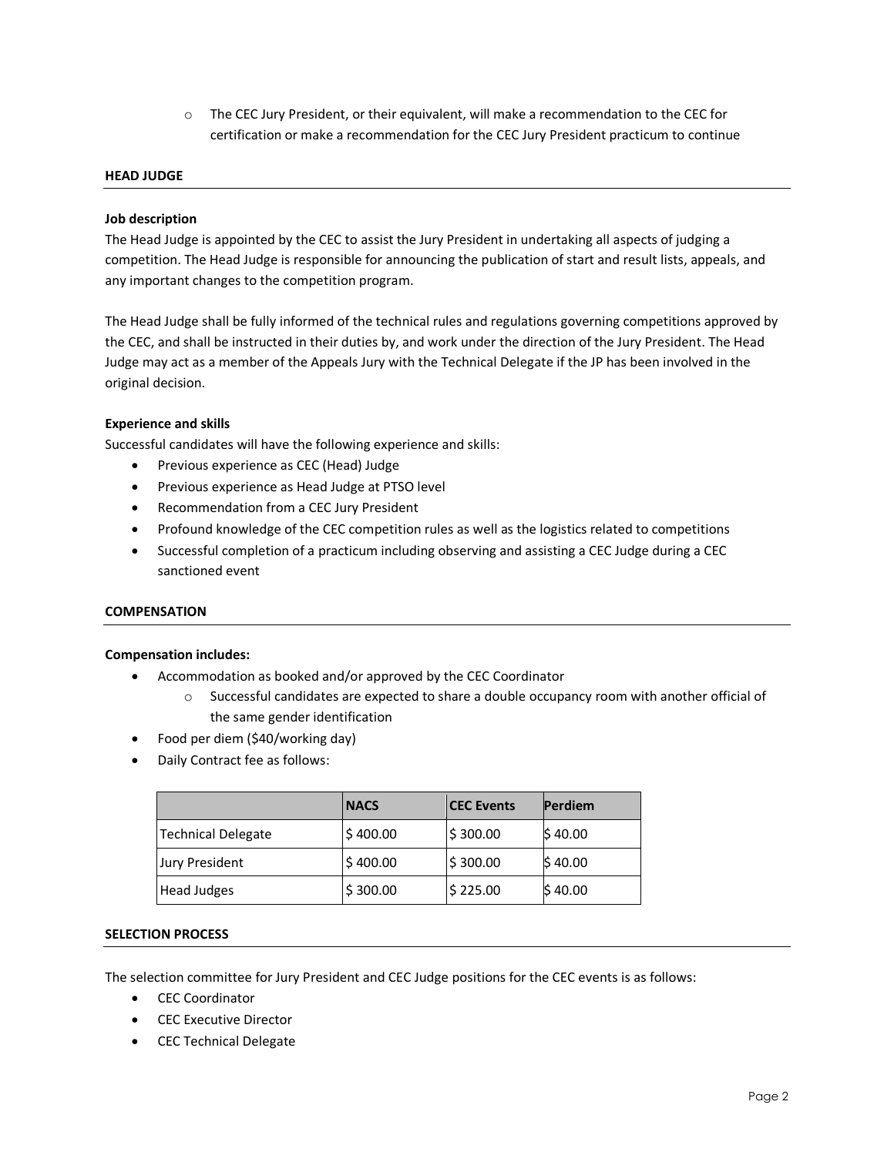$\circ$  The CEC Jury President, or their equivalent, will make a recommendation to the CEC for certification or make a recommendation for the CEC Jury President practicum to continue

# **HEAD JUDGE**

#### **Job description**

The Head Judge is appointed by the CEC to assist the Jury President in undertaking all aspects of judging a competition. The Head Judge is responsible for announcing the publication of start and result lists, appeals, and any important changes to the competition program.

The Head Judge shall be fully informed of the technical rules and regulations governing competitions approved by the CEC, and shall be instructed in their duties by, and work under the direction of the Jury President. The Head Judge may act as a member of the Appeals Jury with the Technical Delegate if the JP has been involved in the original decision.

## **Experience and skills**

Successful candidates will have the following experience and skills:

- Previous experience as CEC (Head) Judge
- Previous experience as Head Judge at PTSO level
- Recommendation from a CEC Jury President
- Profound knowledge of the CEC competition rules as well as the logistics related to competitions
- Successful completion of a practicum including observing and assisting a CEC Judge during a CEC sanctioned event

#### **COMPENSATION**

#### **Compensation includes:**

- Accommodation as booked and/or approved by the CEC Coordinator
	- o Successful candidates are expected to share a double occupancy room with another official of the same gender identification
- Food per diem (\$40/working day)
- Daily Contract fee as follows:

|                           | <b>NACS</b> | <b>CEC Events</b> | Perdiem |
|---------------------------|-------------|-------------------|---------|
| <b>Technical Delegate</b> | \$400.00    | \$300.00          | \$40.00 |
| <b>Jury President</b>     | \$400.00    | \$300.00          | \$40.00 |
| Head Judges               | \$300.00    | \$225.00          | \$40.00 |

## **SELECTION PROCESS**

The selection committee for Jury President and CEC Judge positions for the CEC events is as follows:

- CEC Coordinator
- CEC Executive Director
- CEC Technical Delegate